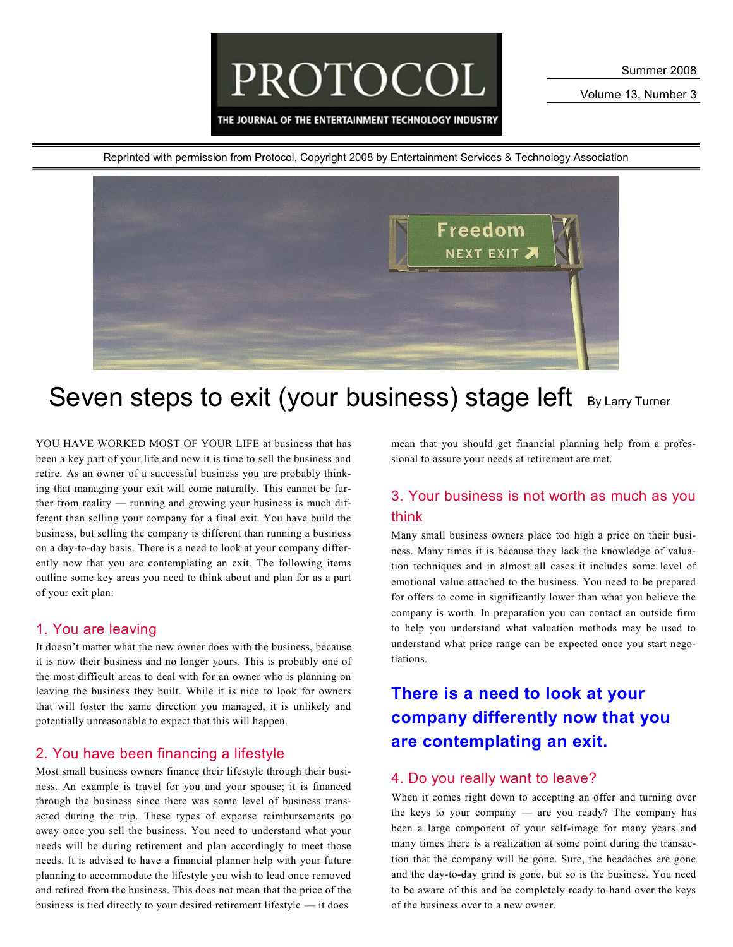PROTOCOL

THE JOURNAL OF THE ENTERTAINMENT TECHNOLOGY INDUSTRY

Volume 13, Number 3



# Seven steps to exit (your business) stage left By Larry Turner

YOU HAVE WORKED MOST OF YOUR LIFE at business that has been a key part of your life and now it is time to sell the business and retire. As an owner of a successful business you are probably thinking that managing your exit will come naturally. This cannot be further from reality — running and growing your business is much different than selling your company for a final exit. You have build the business, but selling the company is different than running a business on a day-to-day basis. There is a need to look at your company differently now that you are contemplating an exit. The following items outline some key areas you need to think about and plan for as a part of your exit plan:

#### 1. You are leaving

It doesn't matter what the new owner does with the business, because it is now their business and no longer yours. This is probably one of the most difficult areas to deal with for an owner who is planning on leaving the business they built. While it is nice to look for owners that will foster the same direction you managed, it is unlikely and potentially unreasonable to expect that this will happen.

#### 2. You have been financing a lifestyle

Most small business owners finance their lifestyle through their business. An example is travel for you and your spouse; it is financed through the business since there was some level of business transacted during the trip. These types of expense reimbursements go away once you sell the business. You need to understand what your needs will be during retirement and plan accordingly to meet those needs. It is advised to have a financial planner help with your future planning to accommodate the lifestyle you wish to lead once removed and retired from the business. This does not mean that the price of the business is tied directly to your desired retirement lifestyle — it does

mean that you should get financial planning help from a professional to assure your needs at retirement are met.

### 3. Your business is not worth as much as you think

Many small business owners place too high a price on their business. Many times it is because they lack the knowledge of valuation techniques and in almost all cases it includes some level of emotional value attached to the business. You need to be prepared for offers to come in significantly lower than what you believe the company is worth. In preparation you can contact an outside firm to help you understand what valuation methods may be used to understand what price range can be expected once you start negotiations.

## **There is a need to look at your company differently now that you are contemplating an exit.**

#### 4. Do you really want to leave?

When it comes right down to accepting an offer and turning over the keys to your company — are you ready? The company has been a large component of your self-image for many years and many times there is a realization at some point during the transaction that the company will be gone. Sure, the headaches are gone and the day-to-day grind is gone, but so is the business. You need to be aware of this and be completely ready to hand over the keys of the business over to a new owner.